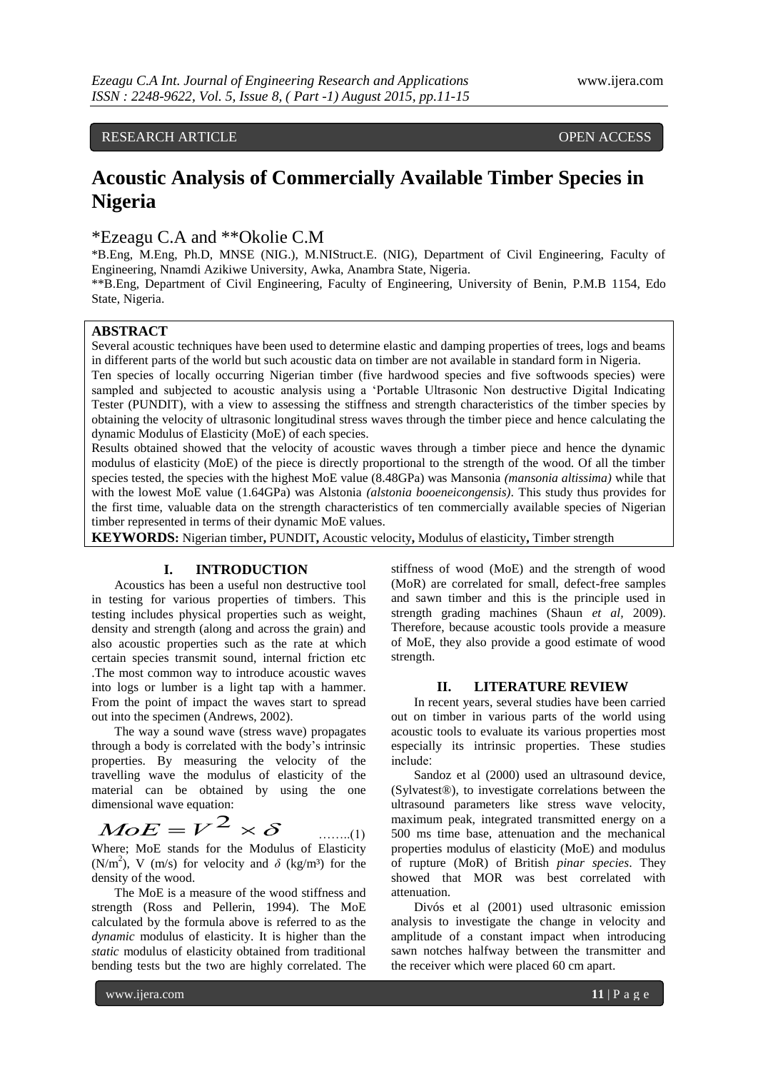# RESEARCH ARTICLE **CONSERVERS** OPEN ACCESS

# **Acoustic Analysis of Commercially Available Timber Species in Nigeria**

\*Ezeagu C.A and \*\*Okolie C.M

\*B.Eng, M.Eng, Ph.D, MNSE (NIG.), M.NIStruct.E. (NIG), Department of Civil Engineering, Faculty of Engineering, Nnamdi Azikiwe University, Awka, Anambra State, Nigeria.

\*\*B.Eng, Department of Civil Engineering, Faculty of Engineering, University of Benin, P.M.B 1154, Edo State, Nigeria.

### **ABSTRACT**

Several acoustic techniques have been used to determine elastic and damping properties of trees, logs and beams in different parts of the world but such acoustic data on timber are not available in standard form in Nigeria.

Ten species of locally occurring Nigerian timber (five hardwood species and five softwoods species) were sampled and subjected to acoustic analysis using a "Portable Ultrasonic Non destructive Digital Indicating Tester (PUNDIT), with a view to assessing the stiffness and strength characteristics of the timber species by obtaining the velocity of ultrasonic longitudinal stress waves through the timber piece and hence calculating the dynamic Modulus of Elasticity (MoE) of each species.

Results obtained showed that the velocity of acoustic waves through a timber piece and hence the dynamic modulus of elasticity (MoE) of the piece is directly proportional to the strength of the wood. Of all the timber species tested, the species with the highest MoE value (8.48GPa) was Mansonia *(mansonia altissima)* while that with the lowest MoE value (1.64GPa) was Alstonia *(alstonia booeneicongensis)*. This study thus provides for the first time, valuable data on the strength characteristics of ten commercially available species of Nigerian timber represented in terms of their dynamic MoE values.

**KEYWORDS:** Nigerian timber**,** PUNDIT**,** Acoustic velocity**,** Modulus of elasticity**,** Timber strength

#### **I. INTRODUCTION**

Acoustics has been a useful non destructive tool in testing for various properties of timbers. This testing includes physical properties such as weight, density and strength (along and across the grain) and also acoustic properties such as the rate at which certain species transmit sound, internal friction etc .The most common way to introduce acoustic waves into logs or lumber is a light tap with a hammer. From the point of impact the waves start to spread out into the specimen (Andrews, 2002).

The way a sound wave (stress wave) propagates through a body is correlated with the body"s intrinsic properties. By measuring the velocity of the travelling wave the modulus of elasticity of the material can be obtained by using the one dimensional wave equation:

#### $MoE = V^2 \times \delta$ ……..(1)

Where; MoE stands for the Modulus of Elasticity (N/m<sup>2</sup>), V (m/s) for velocity and  $\delta$  (kg/m<sup>3</sup>) for the density of the wood.

The MoE is a measure of the wood stiffness and strength (Ross and Pellerin, 1994). The MoE calculated by the formula above is referred to as the *dynamic* modulus of elasticity. It is higher than the *static* modulus of elasticity obtained from traditional bending tests but the two are highly correlated. The

stiffness of wood (MoE) and the strength of wood (MoR) are correlated for small, defect-free samples and sawn timber and this is the principle used in strength grading machines (Shaun *et al,* 2009). Therefore, because acoustic tools provide a measure of MoE, they also provide a good estimate of wood strength.

#### **II. LITERATURE REVIEW**

In recent years, several studies have been carried out on timber in various parts of the world using acoustic tools to evaluate its various properties most especially its intrinsic properties. These studies include:

Sandoz et al (2000) used an ultrasound device, (Sylvatest®), to investigate correlations between the ultrasound parameters like stress wave velocity, maximum peak, integrated transmitted energy on a 500 ms time base, attenuation and the mechanical properties modulus of elasticity (MoE) and modulus of rupture (MoR) of British *pinar species*. They showed that MOR was best correlated with attenuation.

Divós et al (2001) used ultrasonic emission analysis to investigate the change in velocity and amplitude of a constant impact when introducing sawn notches halfway between the transmitter and the receiver which were placed 60 cm apart.

www.ijera.com **11** | P a g e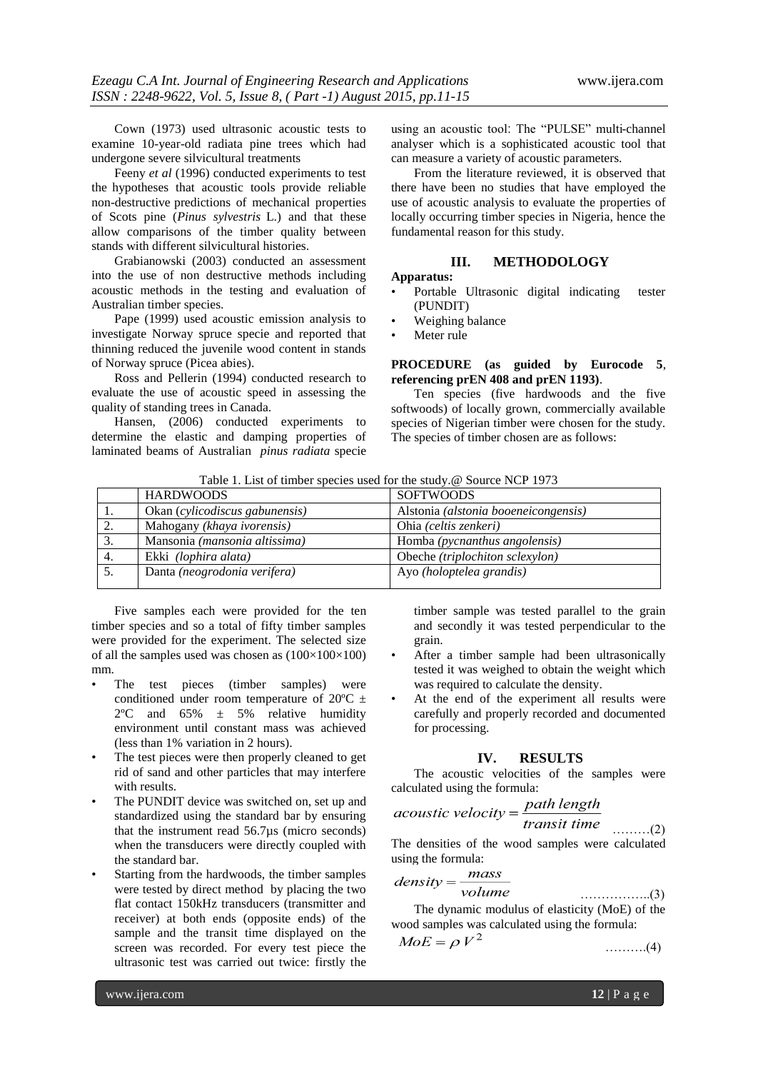Cown (1973) used ultrasonic acoustic tests to examine 10-year-old radiata pine trees which had undergone severe silvicultural treatments

Feeny *et al* (1996) conducted experiments to test the hypotheses that acoustic tools provide reliable non-destructive predictions of mechanical properties of Scots pine (*Pinus sylvestris* L.) and that these allow comparisons of the timber quality between stands with different silvicultural histories.

Grabianowski (2003) conducted an assessment into the use of non destructive methods including acoustic methods in the testing and evaluation of Australian timber species.

Pape (1999) used acoustic emission analysis to investigate Norway spruce specie and reported that thinning reduced the juvenile wood content in stands of Norway spruce (Picea abies).

Ross and Pellerin (1994) conducted research to evaluate the use of acoustic speed in assessing the quality of standing trees in Canada.

Hansen, (2006) conducted experiments to determine the elastic and damping properties of laminated beams of Australian *pinus radiata* specie

using an acoustic tool׃ The "PULSE" multi-channel analyser which is a sophisticated acoustic tool that can measure a variety of acoustic parameters.

From the literature reviewed, it is observed that there have been no studies that have employed the use of acoustic analysis to evaluate the properties of locally occurring timber species in Nigeria, hence the fundamental reason for this study.

# **III. METHODOLOGY**

# **Apparatus:**

- Portable Ultrasonic digital indicating tester (PUNDIT)
- Weighing balance
- Meter rule

#### **PROCEDURE (as guided by Eurocode 5**, **referencing prEN 408 and prEN 1193)**.

Ten species (five hardwoods and the five softwoods) of locally grown, commercially available species of Nigerian timber were chosen for the study. The species of timber chosen are as follows:

Table 1. List of timber species used for the study.@ Source NCP 1973

|    | <b>HARDWOODS</b>               | <b>SOFTWOODS</b>                     |
|----|--------------------------------|--------------------------------------|
| 1. | Okan (cylicodiscus gabunensis) | Alstonia (alstonia booeneicongensis) |
|    | Mahogany (khaya ivorensis)     | Ohia (celtis zenkeri)                |
| 3. | Mansonia (mansonia altissima)  | Homba (pycnanthus angolensis)        |
| 4. | Ekki (lophira alata)           | Obeche (triplochiton sclexylon)      |
|    | Danta (neogrodonia verifera)   | Ayo (holoptelea grandis)             |

Five samples each were provided for the ten timber species and so a total of fifty timber samples were provided for the experiment. The selected size of all the samples used was chosen as  $(100\times100\times100)$ mm.

- The test pieces (timber samples) were conditioned under room temperature of  $20^{\circ}$ C  $\pm$  $2^{\circ}$ C and  $65\% \pm 5\%$  relative humidity environment until constant mass was achieved (less than 1% variation in 2 hours).
- The test pieces were then properly cleaned to get rid of sand and other particles that may interfere with results.
- The PUNDIT device was switched on, set up and standardized using the standard bar by ensuring that the instrument read 56.7µs (micro seconds) when the transducers were directly coupled with the standard bar.
- Starting from the hardwoods, the timber samples were tested by direct method by placing the two flat contact 150kHz transducers (transmitter and receiver) at both ends (opposite ends) of the sample and the transit time displayed on the screen was recorded. For every test piece the ultrasonic test was carried out twice: firstly the

timber sample was tested parallel to the grain and secondly it was tested perpendicular to the grain.

- After a timber sample had been ultrasonically tested it was weighed to obtain the weight which was required to calculate the density.
- At the end of the experiment all results were carefully and properly recorded and documented for processing.

# **IV. RESULTS**

The acoustic velocities of the samples were calculated using the formula:

$$
acoustic velocity = \frac{path length}{transit time}
$$
 (2)

The densities of the wood samples were calculated using the formula:

$$
density = \frac{mass}{volume} \tag{3}
$$

The dynamic modulus of elasticity (MoE) of the wood samples was calculated using the formula:

$$
MoE = \rho V^2 \tag{4}
$$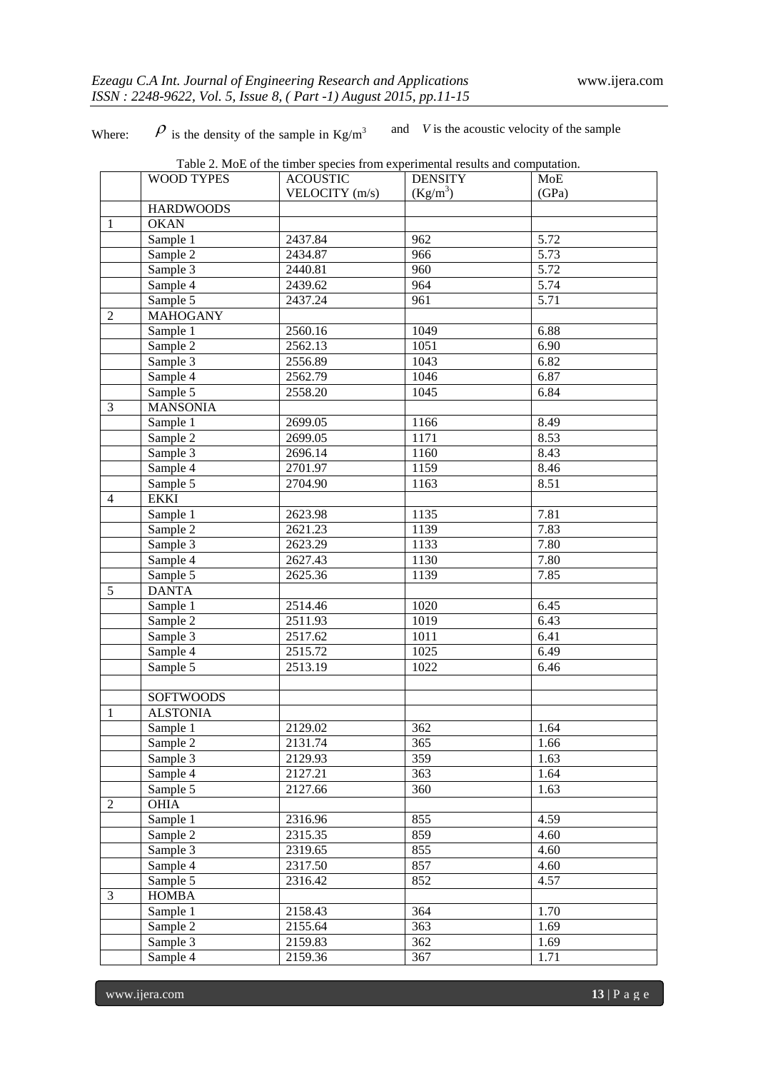Where:  $\beta$  is the density of the sample in Kg/m<sup>3</sup> and *V* is the acoustic velocity of the sample

|                | <b>WOOD TYPES</b>     | Table 2. MoE of the timber species from experimental results and computation.<br><b>ACOUSTIC</b> | <b>DENSITY</b> | MoE   |
|----------------|-----------------------|--------------------------------------------------------------------------------------------------|----------------|-------|
|                |                       | VELOCITY (m/s)                                                                                   | $(Kg/m^3)$     | (GPa) |
|                | <b>HARDWOODS</b>      |                                                                                                  |                |       |
| 1              | <b>OKAN</b>           |                                                                                                  |                |       |
|                | Sample 1              | 2437.84                                                                                          | 962            | 5.72  |
|                | Sample 2              | 2434.87                                                                                          | 966            | 5.73  |
|                | Sample 3              | 2440.81                                                                                          | 960            | 5.72  |
|                | Sample 4              | 2439.62                                                                                          | 964            | 5.74  |
|                | Sample 5              | 2437.24                                                                                          | 961            | 5.71  |
| 2              | <b>MAHOGANY</b>       |                                                                                                  |                |       |
|                | Sample 1              | 2560.16                                                                                          | 1049           | 6.88  |
|                |                       | 2562.13                                                                                          | 1051           | 6.90  |
|                | Sample 2              |                                                                                                  | 1043           |       |
|                | Sample 3              | 2556.89                                                                                          |                | 6.82  |
|                | Sample 4              | 2562.79                                                                                          | 1046           | 6.87  |
|                | Sample 5              | 2558.20                                                                                          | 1045           | 6.84  |
| 3              | <b>MANSONIA</b>       |                                                                                                  |                |       |
|                | Sample $\overline{1}$ | 2699.05                                                                                          | 1166           | 8.49  |
|                | Sample 2              | 2699.05                                                                                          | 1171           | 8.53  |
|                | Sample 3              | 2696.14                                                                                          | 1160           | 8.43  |
|                | Sample 4              | 2701.97                                                                                          | 1159           | 8.46  |
|                | Sample 5              | 2704.90                                                                                          | 1163           | 8.51  |
| $\overline{4}$ | <b>EKKI</b>           |                                                                                                  |                |       |
|                | Sample 1              | 2623.98                                                                                          | 1135           | 7.81  |
|                | Sample 2              | 2621.23                                                                                          | 1139           | 7.83  |
|                | Sample 3              | 2623.29                                                                                          | 1133           | 7.80  |
|                | Sample 4              | 2627.43                                                                                          | 1130           | 7.80  |
|                | Sample 5              | 2625.36                                                                                          | 1139           | 7.85  |
| 5              | <b>DANTA</b>          |                                                                                                  |                |       |
|                | Sample 1              | 2514.46                                                                                          | 1020           | 6.45  |
|                | Sample 2              | 2511.93                                                                                          | 1019           | 6.43  |
|                | Sample 3              | 2517.62                                                                                          | 1011           | 6.41  |
|                | Sample 4              | 2515.72                                                                                          | 1025           | 6.49  |
|                | Sample 5              | 2513.19                                                                                          | 1022           | 6.46  |
|                |                       |                                                                                                  |                |       |
|                | <b>SOFTWOODS</b>      |                                                                                                  |                |       |
| 1              | <b>ALSTONIA</b>       |                                                                                                  |                |       |
|                | Sample 1              | 2129.02                                                                                          | 362            | 1.64  |
|                | Sample 2              | 2131.74                                                                                          | 365            | 1.66  |
|                | Sample 3              | 2129.93                                                                                          | 359            | 1.63  |
|                | Sample 4              | 2127.21                                                                                          | 363            | 1.64  |
|                | Sample 5              | 2127.66                                                                                          | 360            | 1.63  |
| 2              | <b>OHIA</b>           |                                                                                                  |                |       |
|                | Sample 1              | 2316.96                                                                                          | 855            | 4.59  |
|                | Sample 2              | 2315.35                                                                                          | 859            | 4.60  |
|                | Sample 3              | 2319.65                                                                                          | 855            | 4.60  |
|                | Sample 4              | 2317.50                                                                                          | 857            | 4.60  |
|                | Sample 5              | 2316.42                                                                                          | 852            | 4.57  |
| 3              | <b>HOMBA</b>          |                                                                                                  |                |       |
|                | Sample 1              | 2158.43                                                                                          | 364            | 1.70  |
|                | Sample 2              | 2155.64                                                                                          | 363            | 1.69  |
|                | Sample 3              | 2159.83                                                                                          | 362            | 1.69  |
|                |                       |                                                                                                  |                |       |
|                | Sample 4              | 2159.36                                                                                          | 367            | 1.71  |

www.ijera.com **13** | P a g e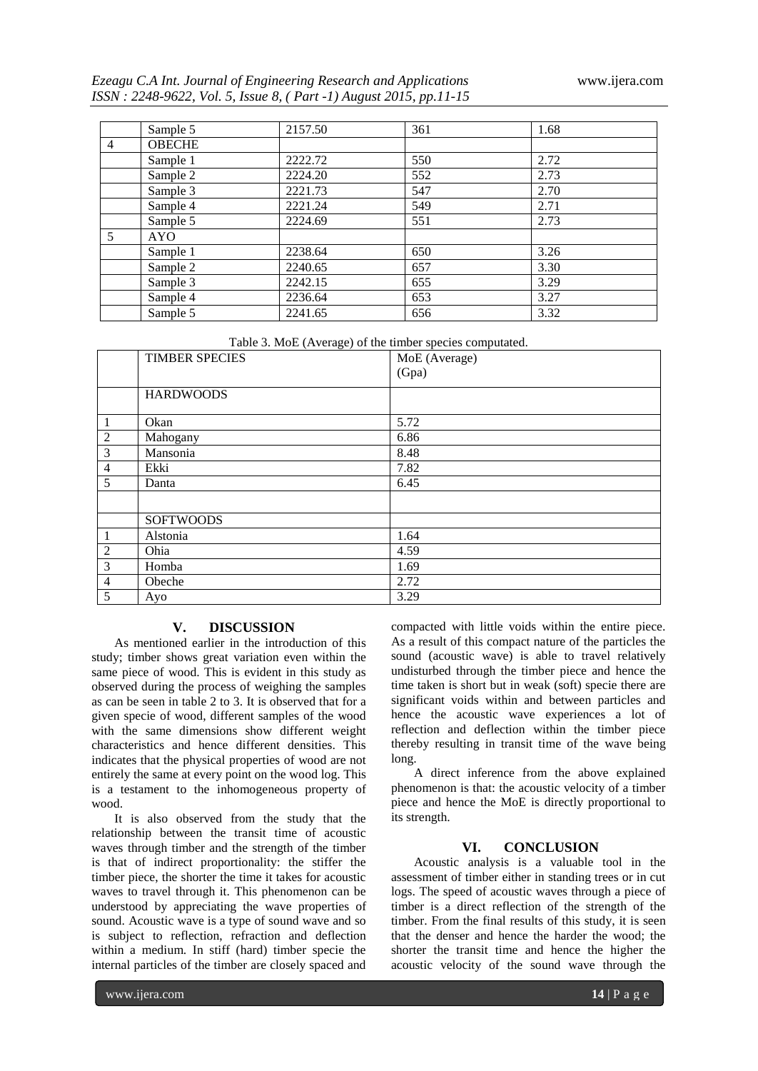*Ezeagu C.A Int. Journal of Engineering Research and Applications* www.ijera.com *ISSN : 2248-9622, Vol. 5, Issue 8, ( Part -1) August 2015, pp.11-15*

|                | Sample 5      | 2157.50 | 361 | 1.68 |
|----------------|---------------|---------|-----|------|
| $\overline{4}$ | <b>OBECHE</b> |         |     |      |
|                | Sample 1      | 2222.72 | 550 | 2.72 |
|                | Sample 2      | 2224.20 | 552 | 2.73 |
|                | Sample 3      | 2221.73 | 547 | 2.70 |
|                | Sample 4      | 2221.24 | 549 | 2.71 |
|                | Sample 5      | 2224.69 | 551 | 2.73 |
| 5              | <b>AYO</b>    |         |     |      |
|                | Sample 1      | 2238.64 | 650 | 3.26 |
|                | Sample 2      | 2240.65 | 657 | 3.30 |
|                | Sample 3      | 2242.15 | 655 | 3.29 |
|                | Sample 4      | 2236.64 | 653 | 3.27 |
|                | Sample 5      | 2241.65 | 656 | 3.32 |

Table 3. MoE (Average) of the timber species computated.

|                | $\sim$ $\sim$<br>، ب<br><b>TIMBER SPECIES</b> | $\mathbf{1}$ $\mathbf{1}$<br>MoE (Average)<br>(Gpa) |
|----------------|-----------------------------------------------|-----------------------------------------------------|
|                |                                               |                                                     |
|                | <b>HARDWOODS</b>                              |                                                     |
| $\mathbf{1}$   | Okan                                          | 5.72                                                |
| $\overline{2}$ | Mahogany                                      | 6.86                                                |
| $\overline{3}$ | Mansonia                                      | 8.48                                                |
| $\overline{4}$ | Ekki                                          | 7.82                                                |
| 5              | Danta                                         | 6.45                                                |
|                |                                               |                                                     |
|                | <b>SOFTWOODS</b>                              |                                                     |
| $\mathbf{1}$   | Alstonia                                      | 1.64                                                |
| $\overline{2}$ | Ohia                                          | 4.59                                                |
| $\mathfrak{Z}$ | Homba                                         | 1.69                                                |
| $\overline{4}$ | Obeche                                        | 2.72                                                |
| 5              | Ayo                                           | 3.29                                                |

#### **V. DISCUSSION**

As mentioned earlier in the introduction of this study; timber shows great variation even within the same piece of wood. This is evident in this study as observed during the process of weighing the samples as can be seen in table 2 to 3. It is observed that for a given specie of wood, different samples of the wood with the same dimensions show different weight characteristics and hence different densities. This indicates that the physical properties of wood are not entirely the same at every point on the wood log. This is a testament to the inhomogeneous property of wood.

It is also observed from the study that the relationship between the transit time of acoustic waves through timber and the strength of the timber is that of indirect proportionality: the stiffer the timber piece, the shorter the time it takes for acoustic waves to travel through it. This phenomenon can be understood by appreciating the wave properties of sound. Acoustic wave is a type of sound wave and so is subject to reflection, refraction and deflection within a medium. In stiff (hard) timber specie the internal particles of the timber are closely spaced and

compacted with little voids within the entire piece. As a result of this compact nature of the particles the sound (acoustic wave) is able to travel relatively undisturbed through the timber piece and hence the time taken is short but in weak (soft) specie there are significant voids within and between particles and hence the acoustic wave experiences a lot of reflection and deflection within the timber piece thereby resulting in transit time of the wave being long.

A direct inference from the above explained phenomenon is that: the acoustic velocity of a timber piece and hence the MoE is directly proportional to its strength.

# **VI. CONCLUSION**

Acoustic analysis is a valuable tool in the assessment of timber either in standing trees or in cut logs. The speed of acoustic waves through a piece of timber is a direct reflection of the strength of the timber. From the final results of this study, it is seen that the denser and hence the harder the wood; the shorter the transit time and hence the higher the acoustic velocity of the sound wave through the